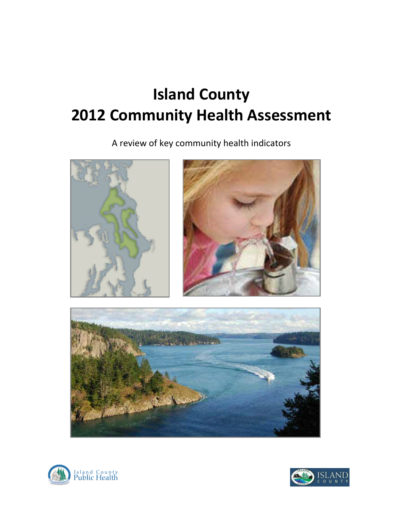A review of key community health indicators







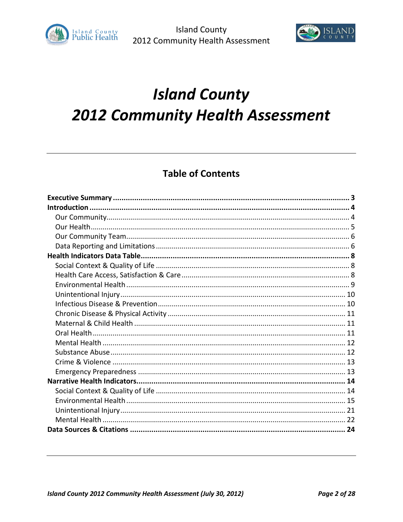



# **Table of Contents**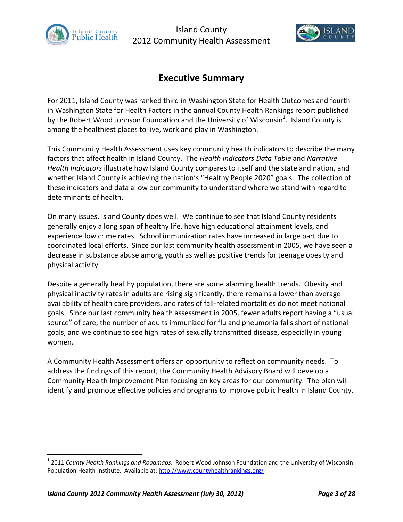



# **Executive Summary**

For 2011, Island County was ranked third in Washington State for Health Outcomes and fourth in Washington State for Health Factors in the annual County Health Rankings report published by the Robert Wood Johnson Foundation and the University of Wisconsin<sup>1</sup>. Island County is among the healthiest places to live, work and play in Washington.

This Community Health Assessment uses key community health indicators to describe the many factors that affect health in Island County. The *Health Indicators Data Table* and *Narrative Health Indicators* illustrate how Island County compares to itself and the state and nation, and whether Island County is achieving the nation's "Healthy People 2020" goals. The collection of these indicators and data allow our community to understand where we stand with regard to determinants of health.

On many issues, Island County does well. We continue to see that Island County residents generally enjoy a long span of healthy life, have high educational attainment levels, and experience low crime rates. School immunization rates have increased in large part due to coordinated local efforts. Since our last community health assessment in 2005, we have seen a decrease in substance abuse among youth as well as positive trends for teenage obesity and physical activity.

Despite a generally healthy population, there are some alarming health trends. Obesity and physical inactivity rates in adults are rising significantly, there remains a lower than average availability of health care providers, and rates of fall-related mortalities do not meet national goals. Since our last community health assessment in 2005, fewer adults report having a "usual source" of care, the number of adults immunized for flu and pneumonia falls short of national goals, and we continue to see high rates of sexually transmitted disease, especially in young women.

A Community Health Assessment offers an opportunity to reflect on community needs. To address the findings of this report, the Community Health Advisory Board will develop a Community Health Improvement Plan focusing on key areas for our community. The plan will identify and promote effective policies and programs to improve public health in Island County.

<sup>1</sup> 2011 *County Health Rankings and Roadmaps*. Robert Wood Johnson Foundation and the University of Wisconsin Population Health Institute. Available at: http://www.countyhealthrankings.org/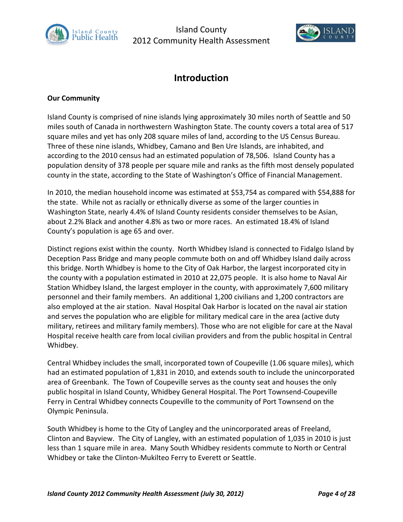



# **Introduction**

## **Our Community**

Island County is comprised of nine islands lying approximately 30 miles north of Seattle and 50 miles south of Canada in northwestern Washington State. The county covers a total area of 517 square miles and yet has only 208 square miles of land, according to the US Census Bureau. Three of these nine islands, Whidbey, Camano and Ben Ure Islands, are inhabited, and according to the 2010 census had an estimated population of 78,506. Island County has a population density of 378 people per square mile and ranks as the fifth most densely populated county in the state, according to the State of Washington's Office of Financial Management.

In 2010, the median household income was estimated at \$53,754 as compared with \$54,888 for the state. While not as racially or ethnically diverse as some of the larger counties in Washington State, nearly 4.4% of Island County residents consider themselves to be Asian, about 2.2% Black and another 4.8% as two or more races. An estimated 18.4% of Island County's population is age 65 and over.

Distinct regions exist within the county. North Whidbey Island is connected to Fidalgo Island by Deception Pass Bridge and many people commute both on and off Whidbey Island daily across this bridge. North Whidbey is home to the City of Oak Harbor, the largest incorporated city in the county with a population estimated in 2010 at 22,075 people. It is also home to Naval Air Station Whidbey Island, the largest employer in the county, with approximately 7,600 military personnel and their family members. An additional 1,200 civilians and 1,200 contractors are also employed at the air station. Naval Hospital Oak Harbor is located on the naval air station and serves the population who are eligible for military medical care in the area (active duty military, retirees and military family members). Those who are not eligible for care at the Naval Hospital receive health care from local civilian providers and from the public hospital in Central Whidbey.

Central Whidbey includes the small, incorporated town of Coupeville (1.06 square miles), which had an estimated population of 1,831 in 2010, and extends south to include the unincorporated area of Greenbank. The Town of Coupeville serves as the county seat and houses the only public hospital in Island County, Whidbey General Hospital. The Port Townsend-Coupeville Ferry in Central Whidbey connects Coupeville to the community of Port Townsend on the Olympic Peninsula.

South Whidbey is home to the City of Langley and the unincorporated areas of Freeland, Clinton and Bayview. The City of Langley, with an estimated population of 1,035 in 2010 is just less than 1 square mile in area. Many South Whidbey residents commute to North or Central Whidbey or take the Clinton-Mukilteo Ferry to Everett or Seattle.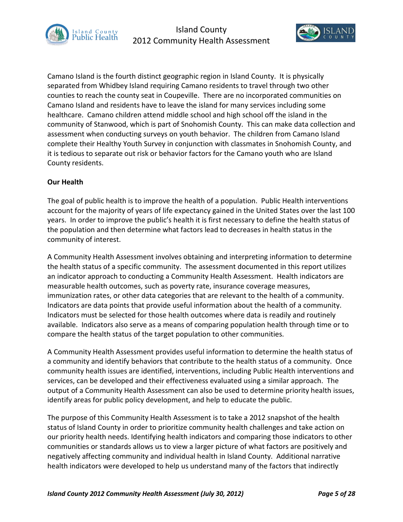



Camano Island is the fourth distinct geographic region in Island County. It is physically separated from Whidbey Island requiring Camano residents to travel through two other counties to reach the county seat in Coupeville. There are no incorporated communities on Camano Island and residents have to leave the island for many services including some healthcare. Camano children attend middle school and high school off the island in the community of Stanwood, which is part of Snohomish County. This can make data collection and assessment when conducting surveys on youth behavior. The children from Camano Island complete their Healthy Youth Survey in conjunction with classmates in Snohomish County, and it is tedious to separate out risk or behavior factors for the Camano youth who are Island County residents.

#### **Our Health**

The goal of public health is to improve the health of a population. Public Health interventions account for the majority of years of life expectancy gained in the United States over the last 100 years. In order to improve the public's health it is first necessary to define the health status of the population and then determine what factors lead to decreases in health status in the community of interest.

A Community Health Assessment involves obtaining and interpreting information to determine the health status of a specific community. The assessment documented in this report utilizes an indicator approach to conducting a Community Health Assessment. Health indicators are measurable health outcomes, such as poverty rate, insurance coverage measures, immunization rates, or other data categories that are relevant to the health of a community. Indicators are data points that provide useful information about the health of a community. Indicators must be selected for those health outcomes where data is readily and routinely available. Indicators also serve as a means of comparing population health through time or to compare the health status of the target population to other communities.

A Community Health Assessment provides useful information to determine the health status of a community and identify behaviors that contribute to the health status of a community. Once community health issues are identified, interventions, including Public Health interventions and services, can be developed and their effectiveness evaluated using a similar approach. The output of a Community Health Assessment can also be used to determine priority health issues, identify areas for public policy development, and help to educate the public.

The purpose of this Community Health Assessment is to take a 2012 snapshot of the health status of Island County in order to prioritize community health challenges and take action on our priority health needs. Identifying health indicators and comparing those indicators to other communities or standards allows us to view a larger picture of what factors are positively and negatively affecting community and individual health in Island County. Additional narrative health indicators were developed to help us understand many of the factors that indirectly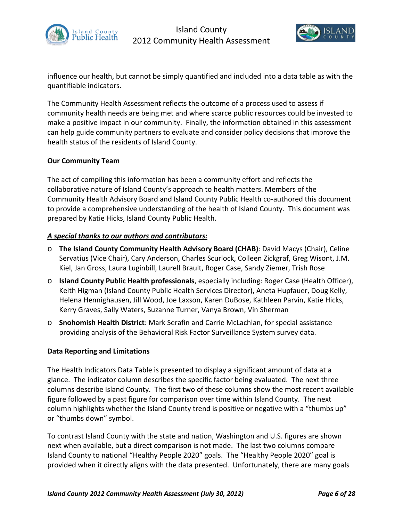



influence our health, but cannot be simply quantified and included into a data table as with the quantifiable indicators.

The Community Health Assessment reflects the outcome of a process used to assess if community health needs are being met and where scarce public resources could be invested to make a positive impact in our community. Finally, the information obtained in this assessment can help guide community partners to evaluate and consider policy decisions that improve the health status of the residents of Island County.

## **Our Community Team**

The act of compiling this information has been a community effort and reflects the collaborative nature of Island County's approach to health matters. Members of the Community Health Advisory Board and Island County Public Health co-authored this document to provide a comprehensive understanding of the health of Island County. This document was prepared by Katie Hicks, Island County Public Health.

## *A special thanks to our authors and contributors:*

- o **The Island County Community Health Advisory Board (CHAB)**: David Macys (Chair), Celine Servatius (Vice Chair), Cary Anderson, Charles Scurlock, Colleen Zickgraf, Greg Wisont, J.M. Kiel, Jan Gross, Laura Luginbill, Laurell Brault, Roger Case, Sandy Ziemer, Trish Rose
- o **Island County Public Health professionals**, especially including: Roger Case (Health Officer), Keith Higman (Island County Public Health Services Director), Aneta Hupfauer, Doug Kelly, Helena Hennighausen, Jill Wood, Joe Laxson, Karen DuBose, Kathleen Parvin, Katie Hicks, Kerry Graves, Sally Waters, Suzanne Turner, Vanya Brown, Vin Sherman
- o **Snohomish Health District**: Mark Serafin and Carrie McLachlan, for special assistance providing analysis of the Behavioral Risk Factor Surveillance System survey data.

#### **Data Reporting and Limitations**

The Health Indicators Data Table is presented to display a significant amount of data at a glance. The indicator column describes the specific factor being evaluated. The next three columns describe Island County. The first two of these columns show the most recent available figure followed by a past figure for comparison over time within Island County. The next column highlights whether the Island County trend is positive or negative with a "thumbs up" or "thumbs down" symbol.

To contrast Island County with the state and nation, Washington and U.S. figures are shown next when available, but a direct comparison is not made. The last two columns compare Island County to national "Healthy People 2020" goals. The "Healthy People 2020" goal is provided when it directly aligns with the data presented. Unfortunately, there are many goals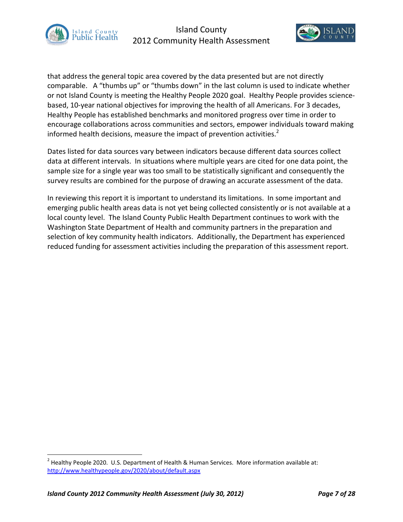



that address the general topic area covered by the data presented but are not directly comparable. A "thumbs up" or "thumbs down" in the last column is used to indicate whether or not Island County is meeting the Healthy People 2020 goal. Healthy People provides sciencebased, 10-year national objectives for improving the health of all Americans. For 3 decades, Healthy People has established benchmarks and monitored progress over time in order to encourage collaborations across communities and sectors, empower individuals toward making informed health decisions, measure the impact of prevention activities. $2^2$ 

Dates listed for data sources vary between indicators because different data sources collect data at different intervals. In situations where multiple years are cited for one data point, the sample size for a single year was too small to be statistically significant and consequently the survey results are combined for the purpose of drawing an accurate assessment of the data.

In reviewing this report it is important to understand its limitations. In some important and emerging public health areas data is not yet being collected consistently or is not available at a local county level. The Island County Public Health Department continues to work with the Washington State Department of Health and community partners in the preparation and selection of key community health indicators. Additionally, the Department has experienced reduced funding for assessment activities including the preparation of this assessment report.

<sup>&</sup>lt;sup>2</sup> Healthy People 2020. U.S. Department of Health & Human Services. More information available at: http://www.healthypeople.gov/2020/about/default.aspx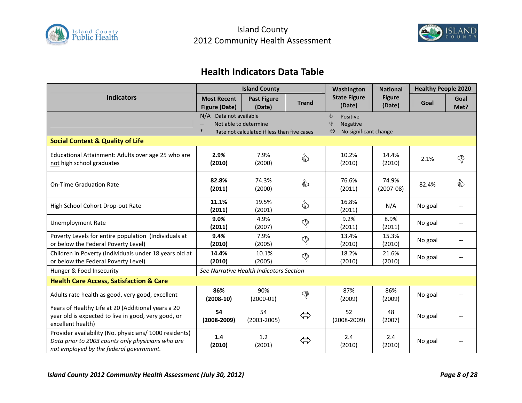



# **Health Indicators Data Table**

|                                                                                                                                                        | <b>Island County</b>                       |                                                                      |                   | Washington                                                      | <b>National</b>         | <b>Healthy People 2020</b> |              |
|--------------------------------------------------------------------------------------------------------------------------------------------------------|--------------------------------------------|----------------------------------------------------------------------|-------------------|-----------------------------------------------------------------|-------------------------|----------------------------|--------------|
| <b>Indicators</b>                                                                                                                                      | <b>Most Recent</b><br><b>Figure (Date)</b> | <b>Past Figure</b><br>(Date)                                         | <b>Trend</b>      | <b>State Figure</b><br>(Date)                                   | <b>Figure</b><br>(Date) | Goal                       | Goal<br>Met? |
|                                                                                                                                                        | N/A Data not available                     | Not able to determine<br>Rate not calculated if less than five cases |                   | ⇘<br>Positive<br><b>Negative</b><br>ড়<br>No significant change |                         |                            |              |
| <b>Social Context &amp; Quality of Life</b>                                                                                                            |                                            |                                                                      |                   |                                                                 |                         |                            |              |
| Educational Attainment: Adults over age 25 who are<br>not high school graduates                                                                        | 2.9%<br>(2010)                             | 7.9%<br>(2000)                                                       | €                 | 10.2%<br>(2010)                                                 | 14.4%<br>(2010)         | 2.1%                       | $\mathbb{S}$ |
| <b>On-Time Graduation Rate</b>                                                                                                                         | 82.8%<br>(2011)                            | 74.3%<br>(2000)                                                      | ☝                 | 76.6%<br>(2011)                                                 | 74.9%<br>$(2007-08)$    | 82.4%                      | €            |
| High School Cohort Drop-out Rate                                                                                                                       | 11.1%<br>(2011)                            | 19.5%<br>(2001)                                                      | ☝                 | 16.8%<br>(2011)                                                 | N/A                     | No goal                    |              |
| <b>Unemployment Rate</b>                                                                                                                               | 9.0%<br>(2011)                             | 4.9%<br>(2007)                                                       | P                 | 9.2%<br>(2011)                                                  | 8.9%<br>(2011)          | No goal                    |              |
| Poverty Levels for entire population (Individuals at<br>or below the Federal Poverty Level)                                                            | 9.4%<br>(2010)                             | 7.9%<br>(2005)                                                       | G                 | 13.4%<br>(2010)                                                 | 15.3%<br>(2010)         | No goal                    |              |
| Children in Poverty (Individuals under 18 years old at<br>or below the Federal Poverty Level)                                                          | 14.4%<br>(2010)                            | 10.1%<br>(2005)                                                      | P                 | 18.2%<br>(2010)                                                 | 21.6%<br>(2010)         | No goal                    |              |
| Hunger & Food Insecurity                                                                                                                               |                                            | See Narrative Health Indicators Section                              |                   |                                                                 |                         |                            |              |
| <b>Health Care Access, Satisfaction &amp; Care</b>                                                                                                     |                                            |                                                                      |                   |                                                                 |                         |                            |              |
| Adults rate health as good, very good, excellent                                                                                                       | 86%<br>$(2008-10)$                         | 90%<br>$(2000-01)$                                                   | $\mathbb{S}$      | 87%<br>(2009)                                                   | 86%<br>(2009)           | No goal                    |              |
| Years of Healthy Life at 20 (Additional years a 20<br>year old is expected to live in good, very good, or<br>excellent health)                         | 54<br>$(2008 - 2009)$                      | 54<br>$(2003 - 2005)$                                                | $\Leftrightarrow$ | 52<br>$(2008 - 2009)$                                           | 48<br>(2007)            | No goal                    |              |
| Provider availability (No. physicians/ 1000 residents)<br>Data prior to 2003 counts only physicians who are<br>not employed by the federal government. | 1.4<br>(2010)                              | 1.2<br>(2001)                                                        | $\Leftrightarrow$ | 2.4<br>(2010)                                                   | 2.4<br>(2010)           | No goal                    |              |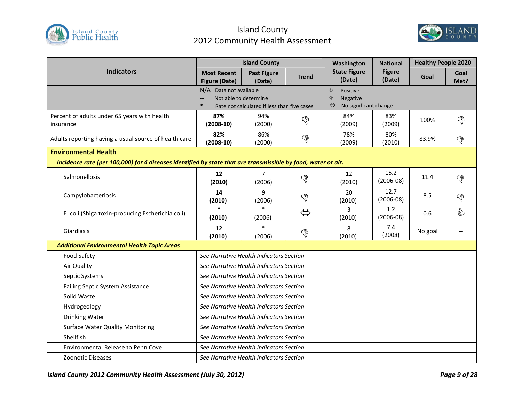



|                                                                                                               | <b>Island County</b>                       |                                                                      |                   | Washington                                                                    | <b>National</b>         | <b>Healthy People 2020</b> |              |
|---------------------------------------------------------------------------------------------------------------|--------------------------------------------|----------------------------------------------------------------------|-------------------|-------------------------------------------------------------------------------|-------------------------|----------------------------|--------------|
| <b>Indicators</b>                                                                                             | <b>Most Recent</b><br><b>Figure (Date)</b> | <b>Past Figure</b><br>(Date)                                         | <b>Trend</b>      | <b>State Figure</b><br>(Date)                                                 | <b>Figure</b><br>(Date) | Goal                       | Goal<br>Met? |
|                                                                                                               | N/A Data not available<br>$\ast$           | Not able to determine<br>Rate not calculated if less than five cases |                   | ⇘<br>Positive<br>Negative<br>ড়<br>$\Leftrightarrow$<br>No significant change |                         |                            |              |
| Percent of adults under 65 years with health<br>insurance                                                     | 87%<br>$(2008-10)$                         | 94%<br>(2000)                                                        | G                 | 84%<br>(2009)                                                                 | 83%<br>(2009)           | 100%                       | ৻ড়          |
| Adults reporting having a usual source of health care                                                         | 82%<br>$(2008-10)$                         | 86%<br>(2000)                                                        | $\mathbb{S}$      | 78%<br>(2009)                                                                 | 80%<br>(2010)           | 83.9%                      | ි            |
| <b>Environmental Health</b>                                                                                   |                                            |                                                                      |                   |                                                                               |                         |                            |              |
| Incidence rate (per 100,000) for 4 diseases identified by state that are transmissible by food, water or air. |                                            |                                                                      |                   |                                                                               |                         |                            |              |
| Salmonellosis                                                                                                 | 12<br>(2010)                               | $\overline{7}$<br>(2006)                                             | G                 | 12<br>(2010)                                                                  | 15.2<br>$(2006-08)$     | 11.4                       | G            |
| Campylobacteriosis                                                                                            | 14<br>(2010)                               | $\mathbf{q}$<br>(2006)                                               | G                 | 20<br>(2010)                                                                  | 12.7<br>$(2006-08)$     | 8.5                        | ᡥ            |
| E. coli (Shiga toxin-producing Escherichia coli)                                                              | $\ast$<br>(2010)                           | $\ast$<br>(2006)                                                     | $\Leftrightarrow$ | 3<br>(2010)                                                                   | 1.2<br>$(2006-08)$      | 0.6                        | ☝            |
| Giardiasis                                                                                                    | 12<br>(2010)                               | (2006)                                                               | ᡥ                 | 8<br>(2010)                                                                   | 7.4<br>(2008)           | No goal                    |              |
| <b>Additional Environmental Health Topic Areas</b>                                                            |                                            |                                                                      |                   |                                                                               |                         |                            |              |
| <b>Food Safety</b>                                                                                            |                                            | See Narrative Health Indicators Section                              |                   |                                                                               |                         |                            |              |
| Air Quality                                                                                                   |                                            | See Narrative Health Indicators Section                              |                   |                                                                               |                         |                            |              |
| Septic Systems                                                                                                |                                            | See Narrative Health Indicators Section                              |                   |                                                                               |                         |                            |              |
| <b>Failing Septic System Assistance</b>                                                                       |                                            | See Narrative Health Indicators Section                              |                   |                                                                               |                         |                            |              |
| Solid Waste                                                                                                   |                                            | See Narrative Health Indicators Section                              |                   |                                                                               |                         |                            |              |
| Hydrogeology                                                                                                  |                                            | See Narrative Health Indicators Section                              |                   |                                                                               |                         |                            |              |
| Drinking Water                                                                                                |                                            | See Narrative Health Indicators Section                              |                   |                                                                               |                         |                            |              |
| <b>Surface Water Quality Monitoring</b>                                                                       | See Narrative Health Indicators Section    |                                                                      |                   |                                                                               |                         |                            |              |
| Shellfish                                                                                                     | See Narrative Health Indicators Section    |                                                                      |                   |                                                                               |                         |                            |              |
| <b>Environmental Release to Penn Cove</b>                                                                     |                                            | See Narrative Health Indicators Section                              |                   |                                                                               |                         |                            |              |
| Zoonotic Diseases                                                                                             |                                            | See Narrative Health Indicators Section                              |                   |                                                                               |                         |                            |              |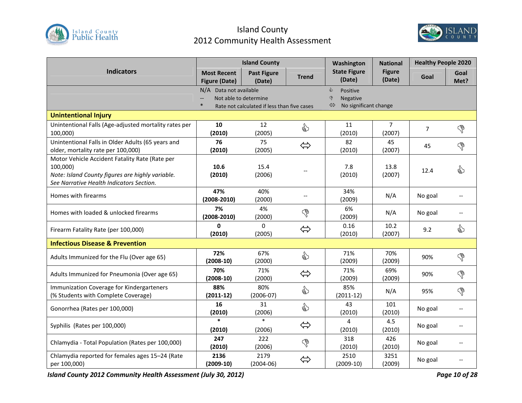



|                                                                                                                                                            | <b>Island County</b>                                      |                                             |                   | Washington                                                               | <b>National</b>          | <b>Healthy People 2020</b> |                               |
|------------------------------------------------------------------------------------------------------------------------------------------------------------|-----------------------------------------------------------|---------------------------------------------|-------------------|--------------------------------------------------------------------------|--------------------------|----------------------------|-------------------------------|
| <b>Indicators</b>                                                                                                                                          | <b>Most Recent</b><br><b>Figure (Date)</b>                | <b>Past Figure</b><br>(Date)                | <b>Trend</b>      | <b>State Figure</b><br>(Date)                                            | <b>Figure</b><br>(Date)  | Goal                       | Goal<br>Met?                  |
|                                                                                                                                                            | N/A Data not available<br>Not able to determine<br>$\ast$ | Rate not calculated if less than five cases |                   | ♦<br>Positive<br>$\mathcal{P}$<br>Negative<br>No significant change<br>⇔ |                          |                            |                               |
| <b>Unintentional Injury</b>                                                                                                                                |                                                           |                                             |                   |                                                                          |                          |                            |                               |
| Unintentional Falls (Age-adjusted mortality rates per<br>100,000)                                                                                          | 10<br>(2010)                                              | 12<br>(2005)                                | €                 | 11<br>(2010)                                                             | $\overline{7}$<br>(2007) | $\overline{7}$             | P                             |
| Unintentional Falls in Older Adults (65 years and<br>older, mortality rate per 100,000)                                                                    | 76<br>(2010)                                              | 75<br>(2005)                                | $\Leftrightarrow$ | 82<br>(2010)                                                             | 45<br>(2007)             | 45                         | P                             |
| Motor Vehicle Accident Fatality Rate (Rate per<br>100,000)<br>Note: Island County figures are highly variable.<br>See Narrative Health Indicators Section. | 10.6<br>(2010)                                            | 15.4<br>(2006)                              |                   | 7.8<br>(2010)                                                            | 13.8<br>(2007)           | 12.4                       | ☝                             |
| Homes with firearms                                                                                                                                        | 47%<br>$(2008 - 2010)$                                    | 40%<br>(2000)                               | $-$               | 34%<br>(2009)                                                            | N/A                      | No goal                    | $\overline{\phantom{a}}$      |
| Homes with loaded & unlocked firearms                                                                                                                      | 7%<br>$(2008 - 2010)$                                     | 4%<br>(2000)                                | P                 | 6%<br>(2009)                                                             | N/A                      | No goal                    | $\hspace{0.05cm} \textbf{--}$ |
| Firearm Fatality Rate (per 100,000)                                                                                                                        | $\mathbf{0}$<br>(2010)                                    | $\mathbf 0$<br>(2005)                       | $\Leftrightarrow$ | 0.16<br>(2010)                                                           | 10.2<br>(2007)           | 9.2                        | €                             |
| <b>Infectious Disease &amp; Prevention</b>                                                                                                                 |                                                           |                                             |                   |                                                                          |                          |                            |                               |
| Adults Immunized for the Flu (Over age 65)                                                                                                                 | 72%<br>$(2008-10)$                                        | 67%<br>(2000)                               | ☝                 | 71%<br>(2009)                                                            | 70%<br>(2009)            | 90%                        | P                             |
| Adults Immunized for Pneumonia (Over age 65)                                                                                                               | 70%<br>$(2008-10)$                                        | 71%<br>(2000)                               | $\Leftrightarrow$ | 71%<br>(2009)                                                            | 69%<br>(2009)            | 90%                        | P                             |
| Immunization Coverage for Kindergarteners<br>(% Students with Complete Coverage)                                                                           | 88%<br>$(2011-12)$                                        | 80%<br>$(2006-07)$                          | ☝                 | 85%<br>$(2011-12)$                                                       | N/A                      | 95%                        | P                             |
| Gonorrhea (Rates per 100,000)                                                                                                                              | 16<br>(2010)                                              | 31<br>(2006)                                | ₷                 | 43<br>(2010)                                                             | 101<br>(2010)            | No goal                    | $\overline{\phantom{a}}$      |
| Syphilis (Rates per 100,000)                                                                                                                               | $\ast$<br>(2010)                                          | $\ast$<br>(2006)                            | $\Leftrightarrow$ | 4<br>(2010)                                                              | 4.5<br>(2010)            | No goal                    |                               |
| Chlamydia - Total Population (Rates per 100,000)                                                                                                           | 247<br>(2010)                                             | 222<br>(2006)                               | G                 | 318<br>(2010)                                                            | 426<br>(2010)            | No goal                    |                               |
| Chlamydia reported for females ages 15-24 (Rate<br>per 100,000)                                                                                            | 2136<br>$(2009-10)$                                       | 2179<br>$(2004-06)$                         | $\Leftrightarrow$ | 2510<br>$(2009-10)$                                                      | 3251<br>(2009)           | No goal                    |                               |

*Island County 2012 Community Health Assessment (July 30, 2012) Page 10 of 28*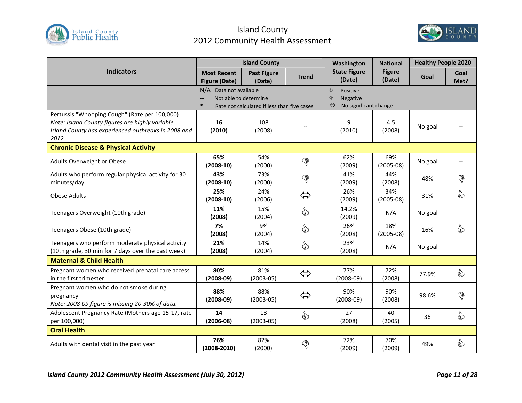



|                                                     |                                            | <b>Island County</b>                        |                   | Washington                                  | <b>National</b>         | <b>Healthy People 2020</b> |              |
|-----------------------------------------------------|--------------------------------------------|---------------------------------------------|-------------------|---------------------------------------------|-------------------------|----------------------------|--------------|
| <b>Indicators</b>                                   | <b>Most Recent</b><br><b>Figure (Date)</b> | <b>Past Figure</b><br>(Date)                | <b>Trend</b>      | <b>State Figure</b><br>(Date)               | <b>Figure</b><br>(Date) | Goal                       | Goal<br>Met? |
|                                                     | N/A Data not available                     |                                             |                   | ఘి<br>Positive                              |                         |                            |              |
|                                                     | Not able to determine                      |                                             |                   | Negative<br>ଙ<br>No significant change<br>⇔ |                         |                            |              |
| Pertussis "Whooping Cough" (Rate per 100,000)       |                                            | Rate not calculated if less than five cases |                   |                                             |                         |                            |              |
| Note: Island County figures are highly variable.    | 16                                         | 108                                         |                   | 9                                           | 4.5                     |                            |              |
| Island County has experienced outbreaks in 2008 and | (2010)                                     | (2008)                                      |                   | (2010)                                      | (2008)                  | No goal                    |              |
| 2012.                                               |                                            |                                             |                   |                                             |                         |                            |              |
| <b>Chronic Disease &amp; Physical Activity</b>      |                                            |                                             |                   |                                             |                         |                            |              |
| Adults Overweight or Obese                          | 65%                                        | 54%                                         | G                 | 62%                                         | 69%                     | No goal                    |              |
|                                                     | $(2008-10)$                                | (2000)                                      |                   | (2009)                                      | $(2005-08)$             |                            |              |
| Adults who perform regular physical activity for 30 | 43%                                        | 73%                                         | G                 | 41%                                         | 44%                     | 48%                        | G            |
| minutes/day                                         | $(2008-10)$                                | (2000)                                      |                   | (2009)                                      | (2008)                  |                            |              |
| <b>Obese Adults</b>                                 | 25%                                        | 24%                                         | $\Leftrightarrow$ | 26%                                         | 34%                     | 31%                        | ⇘            |
|                                                     | $(2008-10)$                                | (2006)                                      |                   | (2009)                                      | $(2005-08)$             |                            |              |
| Teenagers Overweight (10th grade)                   | 11%                                        | 15%                                         | ☝                 | 14.2%                                       | N/A                     | No goal                    |              |
|                                                     | (2008)<br>7%                               | (2004)<br>9%                                |                   | (2009)                                      |                         |                            |              |
| Teenagers Obese (10th grade)                        | (2008)                                     | (2004)                                      | ☝                 | 26%<br>(2008)                               | 18%<br>$(2005-08)$      | 16%                        | ☝            |
| Teenagers who perform moderate physical activity    | 21%                                        | 14%                                         |                   | 23%                                         |                         |                            |              |
| (10th grade, 30 min for 7 days over the past week)  | (2008)                                     | (2004)                                      | ☝                 | (2008)                                      | N/A                     | No goal                    |              |
| <b>Maternal &amp; Child Health</b>                  |                                            |                                             |                   |                                             |                         |                            |              |
| Pregnant women who received prenatal care access    | 80%                                        | 81%                                         |                   | 77%                                         | 72%                     |                            | €            |
| in the first trimester                              | $(2008-09)$                                | $(2003 - 05)$                               | $\Leftrightarrow$ | $(2008-09)$                                 | (2008)                  | 77.9%                      |              |
| Pregnant women who do not smoke during              | 88%                                        | 88%                                         |                   | 90%                                         | 90%                     |                            |              |
| pregnancy                                           | $(2008-09)$                                | $(2003-05)$                                 | ⇔                 | $(2008-09)$                                 | (2008)                  | 98.6%                      | ᡥ            |
| Note: 2008-09 figure is missing 20-30% of data.     |                                            |                                             |                   |                                             |                         |                            |              |
| Adolescent Pregnancy Rate (Mothers age 15-17, rate  | 14                                         | 18                                          | ☝                 | 27                                          | 40                      | 36                         | ☝            |
| per 100,000)                                        | $(2006-08)$                                | $(2003 - 05)$                               |                   | (2008)                                      | (2005)                  |                            |              |
| <b>Oral Health</b>                                  |                                            |                                             |                   |                                             |                         |                            |              |
| Adults with dental visit in the past year           | 76%                                        | 82%                                         | G                 | 72%                                         | 70%                     | 49%                        | ⇘            |
|                                                     | $(2008 - 2010)$                            | (2000)                                      |                   | (2009)                                      | (2009)                  |                            |              |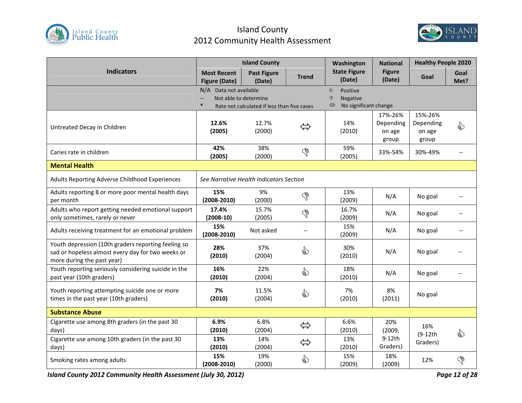



|                                                                                                                                        | <b>Island County</b>                       |                                                                      |                   | Washington                                                                      | <b>National</b>                         | <b>Healthy People 2020</b>              |                          |
|----------------------------------------------------------------------------------------------------------------------------------------|--------------------------------------------|----------------------------------------------------------------------|-------------------|---------------------------------------------------------------------------------|-----------------------------------------|-----------------------------------------|--------------------------|
| <b>Indicators</b>                                                                                                                      | <b>Most Recent</b><br><b>Figure (Date)</b> | <b>Past Figure</b><br>(Date)                                         | <b>Trend</b>      | <b>State Figure</b><br>(Date)                                                   | <b>Figure</b><br>(Date)                 | Goal                                    | Goal<br>Met?             |
|                                                                                                                                        | N/A Data not available                     | Not able to determine<br>Rate not calculated if less than five cases |                   | ♦<br>Positive<br>$\mathcal{P}$<br><b>Negative</b><br>No significant change<br>⇔ |                                         |                                         |                          |
| Untreated Decay in Children                                                                                                            | 12.6%<br>(2005)                            | 12.7%<br>(2000)                                                      | $\Leftrightarrow$ | 14%<br>(2010)                                                                   | 17%-26%<br>Depending<br>on age<br>group | 15%-26%<br>Depending<br>on age<br>group | €                        |
| Caries rate in children                                                                                                                | 42%<br>(2005)                              | 38%<br>(2000)                                                        | G                 | 59%<br>(2005)                                                                   | 33%-54%                                 | 30%-49%                                 |                          |
| <b>Mental Health</b>                                                                                                                   |                                            |                                                                      |                   |                                                                                 |                                         |                                         |                          |
| Adults Reporting Adverse Childhood Experiences                                                                                         |                                            | See Narrative Health Indicators Section                              |                   |                                                                                 |                                         |                                         |                          |
| Adults reporting 8 or more poor mental health days<br>per month                                                                        | 15%<br>$(2008 - 2010)$                     | 9%<br>(2000)                                                         | P                 | 13%<br>(2009)                                                                   | N/A                                     | No goal                                 |                          |
| Adults who report getting needed emotional support<br>only sometimes, rarely or never                                                  | 17.4%<br>$(2008-10)$                       | 15.7%<br>(2005)                                                      | P                 | 16.7%<br>(2009)                                                                 | N/A                                     | No goal                                 | --                       |
| Adults receiving treatment for an emotional problem                                                                                    | 15%<br>$(2008 - 2010)$                     | Not asked                                                            | $-$               | 15%<br>(2009)                                                                   | N/A                                     | No goal                                 | $\overline{\phantom{a}}$ |
| Youth depression (10th graders reporting feeling so<br>sad or hopeless almost every day for two weeks or<br>more during the past year) | 28%<br>(2010)                              | 37%<br>(2004)                                                        | ☝                 | 30%<br>(2010)                                                                   | N/A                                     | No goal                                 |                          |
| Youth reporting seriously considering suicide in the<br>past year (10th graders)                                                       | 16%<br>(2010)                              | 22%<br>(2004)                                                        | ☝                 | 18%<br>(2010)                                                                   | N/A                                     | No goal                                 |                          |
| Youth reporting attempting suicide one or more<br>times in the past year (10th graders)                                                | 7%<br>(2010)                               | 11.5%<br>(2004)                                                      | ☝                 | 7%<br>(2010)                                                                    | 8%<br>(2011)                            | No goal                                 |                          |
| <b>Substance Abuse</b>                                                                                                                 |                                            |                                                                      |                   |                                                                                 |                                         |                                         |                          |
| Cigarette use among 8th graders (in the past 30<br>days)                                                                               | 6.9%<br>(2010)                             | 6.8%<br>(2004)                                                       | $\Leftrightarrow$ | 6.6%<br>(2010)                                                                  | 20%<br>(2009, )                         | 16%<br>$(9-12th)$                       | €                        |
| Cigarette use among 10th graders (in the past 30<br>days)                                                                              | 13%<br>(2010)                              | 14%<br>(2004)                                                        | $\Leftrightarrow$ | 13%<br>(2010)                                                                   | 9-12th<br>Graders)                      | Graders)                                |                          |
| Smoking rates among adults                                                                                                             | 15%<br>$(2008 - 2010)$                     | 19%<br>(2000)                                                        | ☝                 | 15%<br>(2009)                                                                   | 18%<br>(2009)                           | 12%                                     | P                        |

*Island County 2012 Community Health Assessment (July 30, 2012) Page 12 of 28*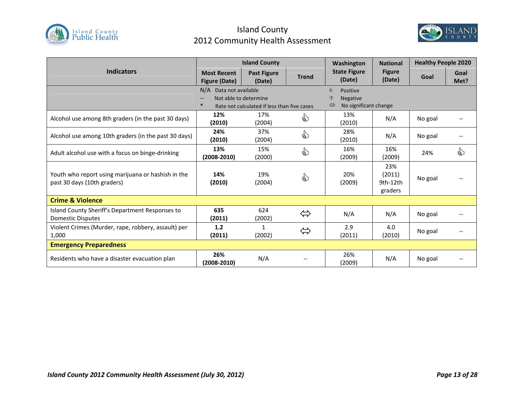



| <b>Island County</b>                                                              |                                                                                                |                              | Washington                                                      | <b>National</b>               | <b>Healthy People 2020</b>           |         |              |
|-----------------------------------------------------------------------------------|------------------------------------------------------------------------------------------------|------------------------------|-----------------------------------------------------------------|-------------------------------|--------------------------------------|---------|--------------|
| <b>Indicators</b>                                                                 | <b>Most Recent</b><br><b>Figure (Date)</b>                                                     | <b>Past Figure</b><br>(Date) | <b>Trend</b>                                                    | <b>State Figure</b><br>(Date) | <b>Figure</b><br>(Date)              | Goal    | Goal<br>Met? |
|                                                                                   | N/A Data not available<br>Not able to determine<br>Rate not calculated if less than five cases |                              | ఘ<br>Positive<br>∖€<br><b>Negative</b><br>No significant change |                               |                                      |         |              |
| Alcohol use among 8th graders (in the past 30 days)                               | 12%<br>(2010)                                                                                  | 17%<br>(2004)                | ☝                                                               | 13%<br>(2010)                 | N/A                                  | No goal |              |
| Alcohol use among 10th graders (in the past 30 days)                              | 24%<br>(2010)                                                                                  | 37%<br>(2004)                | ☝                                                               | 28%<br>(2010)                 | N/A                                  | No goal |              |
| Adult alcohol use with a focus on binge-drinking                                  | 13%<br>$(2008 - 2010)$                                                                         | 15%<br>(2000)                | ☝                                                               | 16%<br>(2009)                 | 16%<br>(2009)                        | 24%     | €            |
| Youth who report using marijuana or hashish in the<br>past 30 days (10th graders) | 14%<br>(2010)                                                                                  | 19%<br>(2004)                | ☝                                                               | 20%<br>(2009)                 | 23%<br>(2011)<br>9th-12th<br>graders | No goal |              |
| <b>Crime &amp; Violence</b>                                                       |                                                                                                |                              |                                                                 |                               |                                      |         |              |
| Island County Sheriff's Department Responses to<br><b>Domestic Disputes</b>       | 635<br>(2011)                                                                                  | 624<br>(2002)                | $\Leftrightarrow$                                               | N/A                           | N/A                                  | No goal |              |
| Violent Crimes (Murder, rape, robbery, assault) per<br>1,000                      | 1.2<br>(2011)                                                                                  | $\mathbf{1}$<br>(2002)       | $\Leftrightarrow$                                               | 2.9<br>(2011)                 | 4.0<br>(2010)                        | No goal |              |
| <b>Emergency Preparedness</b>                                                     |                                                                                                |                              |                                                                 |                               |                                      |         |              |
| Residents who have a disaster evacuation plan                                     | 26%<br>$(2008 - 2010)$                                                                         | N/A                          |                                                                 | 26%<br>(2009)                 | N/A                                  | No goal |              |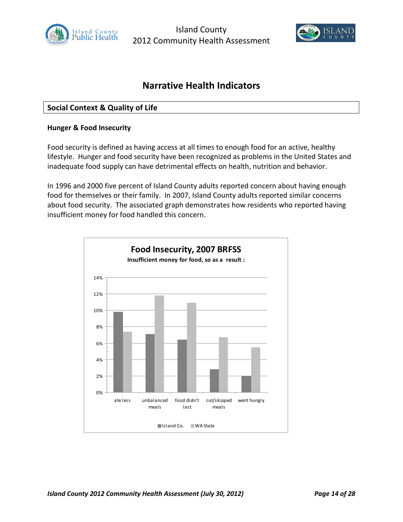



## **Narrative Health Indicators**

## **Social Context & Quality of Life**

#### **Hunger & Food Insecurity**

Food security is defined as having access at all times to enough food for an active, healthy lifestyle. Hunger and food security have been recognized as problems in the United States and inadequate food supply can have detrimental effects on health, nutrition and behavior.

In 1996 and 2000 five percent of Island County adults reported concern about having enough food for themselves or their family. In 2007, Island County adults reported similar concerns about food security. The associated graph demonstrates how residents who reported having insufficient money for food handled this concern.

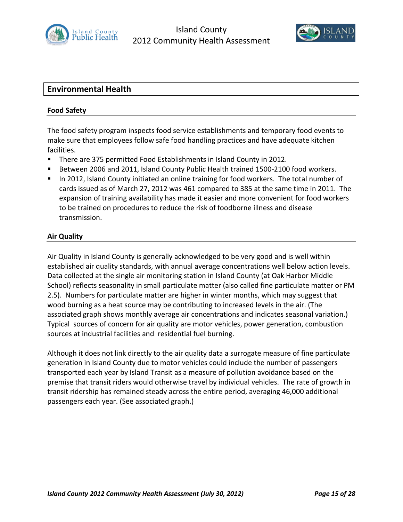



## **Environmental Health**

#### **Food Safety**

The food safety program inspects food service establishments and temporary food events to make sure that employees follow safe food handling practices and have adequate kitchen facilities.

- **There are 375 permitted Food Establishments in Island County in 2012.**
- Between 2006 and 2011, Island County Public Health trained 1500-2100 food workers.
- In 2012, Island County initiated an online training for food workers. The total number of cards issued as of March 27, 2012 was 461 compared to 385 at the same time in 2011. The expansion of training availability has made it easier and more convenient for food workers to be trained on procedures to reduce the risk of foodborne illness and disease transmission.

#### **Air Quality**

Air Quality in Island County is generally acknowledged to be very good and is well within established air quality standards, with annual average concentrations well below action levels. Data collected at the single air monitoring station in Island County (at Oak Harbor Middle School) reflects seasonality in small particulate matter (also called fine particulate matter or PM 2.5). Numbers for particulate matter are higher in winter months, which may suggest that wood burning as a heat source may be contributing to increased levels in the air. (The associated graph shows monthly average air concentrations and indicates seasonal variation.) Typical sources of concern for air quality are motor vehicles, power generation, combustion sources at industrial facilities and residential fuel burning.

Although it does not link directly to the air quality data a surrogate measure of fine particulate generation in Island County due to motor vehicles could include the number of passengers transported each year by Island Transit as a measure of pollution avoidance based on the premise that transit riders would otherwise travel by individual vehicles. The rate of growth in transit ridership has remained steady across the entire period, averaging 46,000 additional passengers each year. (See associated graph.)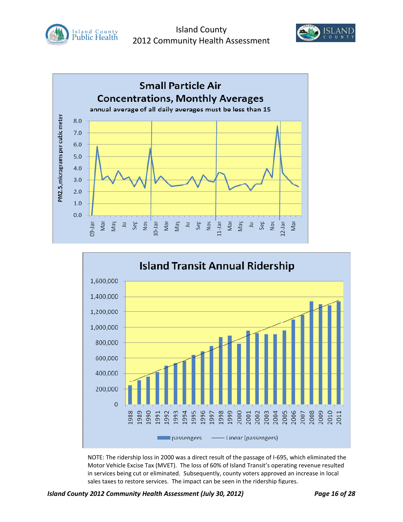







NOTE: The ridership loss in 2000 was a direct result of the passage of I-695, which eliminated the Motor Vehicle Excise Tax (MVET). The loss of 60% of Island Transit's operating revenue resulted in services being cut or eliminated. Subsequently, county voters approved an increase in local sales taxes to restore services. The impact can be seen in the ridership figures.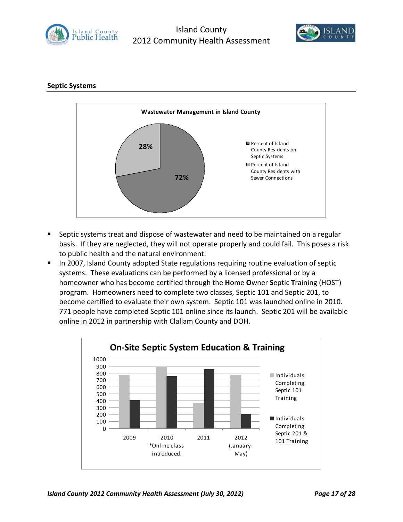



## **Septic Systems**



- Septic systems treat and dispose of wastewater and need to be maintained on a regular basis. If they are neglected, they will not operate properly and could fail. This poses a risk to public health and the natural environment.
- **IF In 2007, Island County adopted State regulations requiring routine evaluation of septic** systems. These evaluations can be performed by a licensed professional or by a homeowner who has become certified through the **H**ome **O**wner **S**eptic **T**raining (HOST) program. Homeowners need to complete two classes, Septic 101 and Septic 201, to become certified to evaluate their own system. Septic 101 was launched online in 2010. 771 people have completed Septic 101 online since its launch. Septic 201 will be available online in 2012 in partnership with Clallam County and DOH.

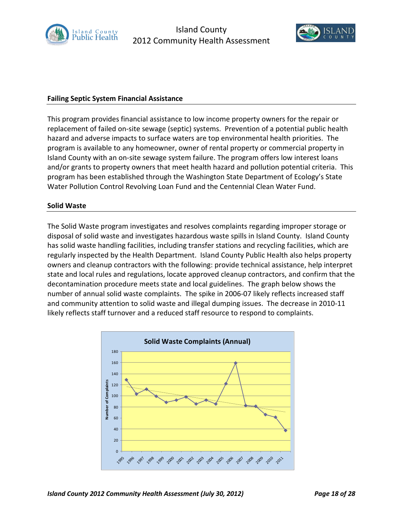



#### **Failing Septic System Financial Assistance**

This program provides financial assistance to low income property owners for the repair or replacement of failed on-site sewage (septic) systems. Prevention of a potential public health hazard and adverse impacts to surface waters are top environmental health priorities. The program is available to any homeowner, owner of rental property or commercial property in Island County with an on-site sewage system failure. The program offers low interest loans and/or grants to property owners that meet health hazard and pollution potential criteria. This program has been established through the Washington State Department of Ecology's State Water Pollution Control Revolving Loan Fund and the Centennial Clean Water Fund.

#### **Solid Waste**

The Solid Waste program investigates and resolves complaints regarding improper storage or disposal of solid waste and investigates hazardous waste spills in Island County. Island County has solid waste handling facilities, including transfer stations and recycling facilities, which are regularly inspected by the Health Department. Island County Public Health also helps property owners and cleanup contractors with the following: provide technical assistance, help interpret state and local rules and regulations, locate approved cleanup contractors, and confirm that the decontamination procedure meets state and local guidelines. The graph below shows the number of annual solid waste complaints. The spike in 2006-07 likely reflects increased staff and community attention to solid waste and illegal dumping issues. The decrease in 2010-11 likely reflects staff turnover and a reduced staff resource to respond to complaints.

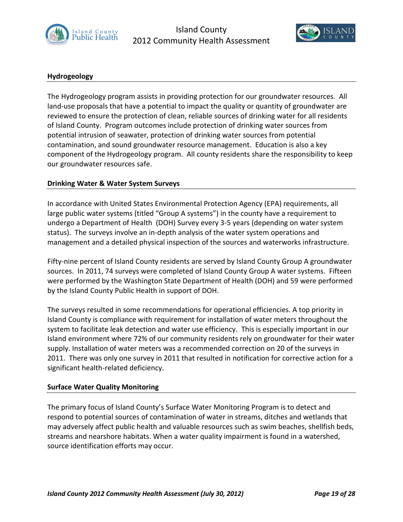



## **Hydrogeology**

The Hydrogeology program assists in providing protection for our groundwater resources. All land-use proposals that have a potential to impact the quality or quantity of groundwater are reviewed to ensure the protection of clean, reliable sources of drinking water for all residents of Island County. Program outcomes include protection of drinking water sources from potential intrusion of seawater, protection of drinking water sources from potential contamination, and sound groundwater resource management. Education is also a key component of the Hydrogeology program. All county residents share the responsibility to keep our groundwater resources safe.

#### **Drinking Water & Water System Surveys**

In accordance with United States Environmental Protection Agency (EPA) requirements, all large public water systems (titled "Group A systems") in the county have a requirement to undergo a Department of Health (DOH) Survey every 3-5 years (depending on water system status). The surveys involve an in-depth analysis of the water system operations and management and a detailed physical inspection of the sources and waterworks infrastructure.

Fifty-nine percent of Island County residents are served by Island County Group A groundwater sources. In 2011, 74 surveys were completed of Island County Group A water systems. Fifteen were performed by the Washington State Department of Health (DOH) and 59 were performed by the Island County Public Health in support of DOH.

The surveys resulted in some recommendations for operational efficiencies. A top priority in Island County is compliance with requirement for installation of water meters throughout the system to facilitate leak detection and water use efficiency. This is especially important in our Island environment where 72% of our community residents rely on groundwater for their water supply. Installation of water meters was a recommended correction on 20 of the surveys in 2011. There was only one survey in 2011 that resulted in notification for corrective action for a significant health-related deficiency.

#### **Surface Water Quality Monitoring**

The primary focus of Island County's Surface Water Monitoring Program is to detect and respond to potential sources of contamination of water in streams, ditches and wetlands that may adversely affect public health and valuable resources such as swim beaches, shellfish beds, streams and nearshore habitats. When a water quality impairment is found in a watershed, source identification efforts may occur.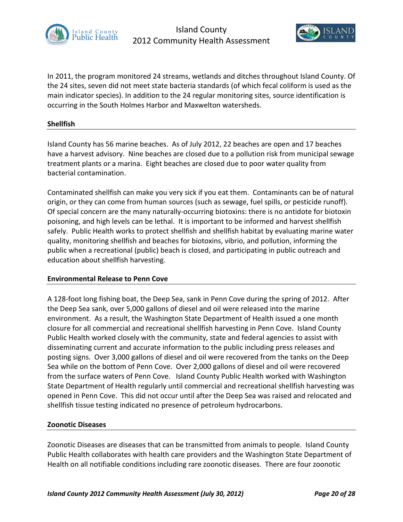



In 2011, the program monitored 24 streams, wetlands and ditches throughout Island County. Of the 24 sites, seven did not meet state bacteria standards (of which fecal coliform is used as the main indicator species). In addition to the 24 regular monitoring sites, source identification is occurring in the South Holmes Harbor and Maxwelton watersheds.

#### **Shellfish**

Island County has 56 marine beaches. As of July 2012, 22 beaches are open and 17 beaches have a harvest advisory. Nine beaches are closed due to a pollution risk from municipal sewage treatment plants or a marina. Eight beaches are closed due to poor water quality from bacterial contamination.

Contaminated shellfish can make you very sick if you eat them. Contaminants can be of natural origin, or they can come from human sources (such as sewage, fuel spills, or pesticide runoff). Of special concern are the many naturally-occurring biotoxins: there is no antidote for biotoxin poisoning, and high levels can be lethal. It is important to be informed and harvest shellfish safely. Public Health works to protect shellfish and shellfish habitat by evaluating marine water quality, monitoring shellfish and beaches for biotoxins, vibrio, and pollution, informing the public when a recreational (public) beach is closed, and participating in public outreach and education about shellfish harvesting.

#### **Environmental Release to Penn Cove**

A 128-foot long fishing boat, the Deep Sea, sank in Penn Cove during the spring of 2012. After the Deep Sea sank, over 5,000 gallons of diesel and oil were released into the marine environment. As a result, the Washington State Department of Health issued a one month closure for all commercial and recreational shellfish harvesting in Penn Cove. Island County Public Health worked closely with the community, state and federal agencies to assist with disseminating current and accurate information to the public including press releases and posting signs. Over 3,000 gallons of diesel and oil were recovered from the tanks on the Deep Sea while on the bottom of Penn Cove. Over 2,000 gallons of diesel and oil were recovered from the surface waters of Penn Cove. Island County Public Health worked with Washington State Department of Health regularly until commercial and recreational shellfish harvesting was opened in Penn Cove. This did not occur until after the Deep Sea was raised and relocated and shellfish tissue testing indicated no presence of petroleum hydrocarbons.

#### **Zoonotic Diseases**

Zoonotic Diseases are diseases that can be transmitted from animals to people. Island County Public Health collaborates with health care providers and the Washington State Department of Health on all notifiable conditions including rare zoonotic diseases. There are four zoonotic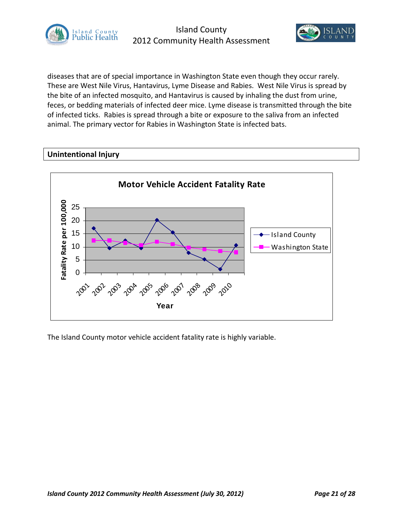



diseases that are of special importance in Washington State even though they occur rarely. These are West Nile Virus, Hantavirus, Lyme Disease and Rabies. West Nile Virus is spread by the bite of an infected mosquito, and Hantavirus is caused by inhaling the dust from urine, feces, or bedding materials of infected deer mice. Lyme disease is transmitted through the bite of infected ticks. Rabies is spread through a bite or exposure to the saliva from an infected animal. The primary vector for Rabies in Washington State is infected bats.

## **Unintentional Injury**



The Island County motor vehicle accident fatality rate is highly variable.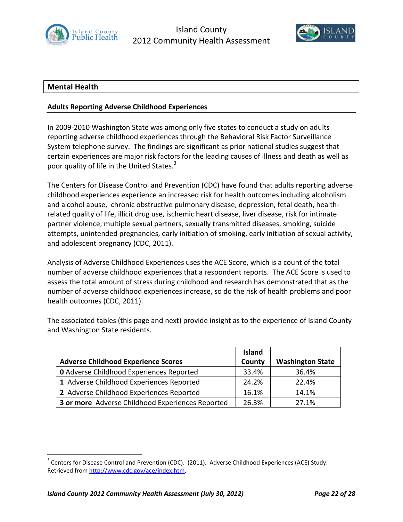



## **Mental Health**

## **Adults Reporting Adverse Childhood Experiences**

In 2009-2010 Washington State was among only five states to conduct a study on adults reporting adverse childhood experiences through the Behavioral Risk Factor Surveillance System telephone survey. The findings are significant as prior national studies suggest that certain experiences are major risk factors for the leading causes of illness and death as well as poor quality of life in the United States.<sup>3</sup>

The Centers for Disease Control and Prevention (CDC) have found that adults reporting adverse childhood experiences experience an increased risk for health outcomes including alcoholism and alcohol abuse, chronic obstructive pulmonary disease, depression, fetal death, healthrelated quality of life, illicit drug use, ischemic heart disease, liver disease, risk for intimate partner violence, multiple sexual partners, sexually transmitted diseases, smoking, suicide attempts, unintended pregnancies, early initiation of smoking, early initiation of sexual activity, and adolescent pregnancy (CDC, 2011).

Analysis of Adverse Childhood Experiences uses the ACE Score, which is a count of the total number of adverse childhood experiences that a respondent reports. The ACE Score is used to assess the total amount of stress during childhood and research has demonstrated that as the number of adverse childhood experiences increase, so do the risk of health problems and poor health outcomes (CDC, 2011).

The associated tables (this page and next) provide insight as to the experience of Island County and Washington State residents.

|                                                  | <b>Island</b> |                         |
|--------------------------------------------------|---------------|-------------------------|
| <b>Adverse Childhood Experience Scores</b>       | County        | <b>Washington State</b> |
| <b>0</b> Adverse Childhood Experiences Reported  | 33.4%         | 36.4%                   |
| 1 Adverse Childhood Experiences Reported         | 24.2%         | 22.4%                   |
| 2 Adverse Childhood Experiences Reported         | 16.1%         | 14.1%                   |
| 3 or more Adverse Childhood Experiences Reported | 26.3%         | 27.1%                   |

 $3$  Centers for Disease Control and Prevention (CDC). (2011). Adverse Childhood Experiences (ACE) Study. Retrieved from http://www.cdc.gov/ace/index.htm.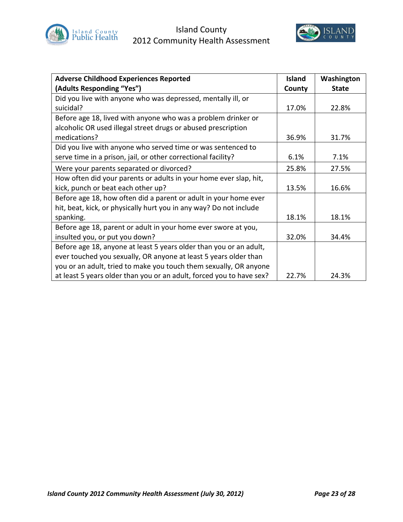



| <b>Adverse Childhood Experiences Reported</b>                        | <b>Island</b> | Washington   |
|----------------------------------------------------------------------|---------------|--------------|
| (Adults Responding "Yes")                                            | County        | <b>State</b> |
| Did you live with anyone who was depressed, mentally ill, or         |               |              |
| suicidal?                                                            | 17.0%         | 22.8%        |
| Before age 18, lived with anyone who was a problem drinker or        |               |              |
| alcoholic OR used illegal street drugs or abused prescription        |               |              |
| medications?                                                         | 36.9%         | 31.7%        |
| Did you live with anyone who served time or was sentenced to         |               |              |
| serve time in a prison, jail, or other correctional facility?        | 6.1%          | 7.1%         |
| Were your parents separated or divorced?                             | 25.8%         | 27.5%        |
| How often did your parents or adults in your home ever slap, hit,    |               |              |
| kick, punch or beat each other up?                                   | 13.5%         | 16.6%        |
| Before age 18, how often did a parent or adult in your home ever     |               |              |
| hit, beat, kick, or physically hurt you in any way? Do not include   |               |              |
| spanking.                                                            | 18.1%         | 18.1%        |
| Before age 18, parent or adult in your home ever swore at you,       |               |              |
| insulted you, or put you down?                                       | 32.0%         | 34.4%        |
| Before age 18, anyone at least 5 years older than you or an adult,   |               |              |
| ever touched you sexually, OR anyone at least 5 years older than     |               |              |
| you or an adult, tried to make you touch them sexually, OR anyone    |               |              |
| at least 5 years older than you or an adult, forced you to have sex? | 22.7%         | 24.3%        |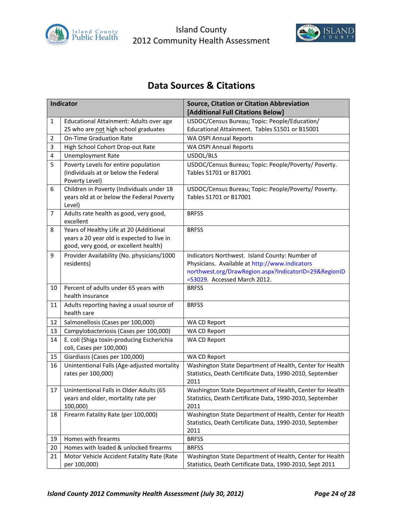



# **Data Sources & Citations**

|                         | <b>Indicator</b>                                    | <b>Source, Citation or Citation Abbreviation</b>                                      |
|-------------------------|-----------------------------------------------------|---------------------------------------------------------------------------------------|
|                         |                                                     | [Additional Full Citations Below]                                                     |
| 1                       | Educational Attainment: Adults over age             | USDOC/Census Bureau; Topic: People/Education/                                         |
|                         | 25 who are not high school graduates                | Educational Attainment. Tables S1501 or B15001                                        |
| 2                       | <b>On-Time Graduation Rate</b>                      | WA OSPI Annual Reports                                                                |
| 3                       | High School Cohort Drop-out Rate                    | WA OSPI Annual Reports                                                                |
| $\overline{\mathbf{4}}$ | <b>Unemployment Rate</b>                            | USDOL/BLS                                                                             |
| 5                       | Poverty Levels for entire population                | USDOC/Census Bureau; Topic: People/Poverty/ Poverty.                                  |
|                         | (Individuals at or below the Federal                | Tables S1701 or B17001                                                                |
|                         | Poverty Level)                                      |                                                                                       |
| 6                       | Children in Poverty (Individuals under 18           | USDOC/Census Bureau; Topic: People/Poverty/ Poverty.                                  |
|                         | years old at or below the Federal Poverty<br>Level) | Tables S1701 or B17001                                                                |
| $\overline{7}$          | Adults rate health as good, very good,              | <b>BRFSS</b>                                                                          |
|                         | excellent                                           |                                                                                       |
| 8                       | Years of Healthy Life at 20 (Additional             | <b>BRFSS</b>                                                                          |
|                         | years a 20 year old is expected to live in          |                                                                                       |
|                         | good, very good, or excellent health)               |                                                                                       |
| 9                       | Provider Availability (No. physicians/1000          | Indicators Northwest. Island County: Number of                                        |
|                         | residents)                                          | Physicians. Available at http://www.indicators                                        |
|                         |                                                     | northwest.org/DrawRegion.aspx?IndicatorID=29&RegionID<br>=53029. Accessed March 2012. |
| 10                      | Percent of adults under 65 years with               | <b>BRFSS</b>                                                                          |
|                         | health insurance                                    |                                                                                       |
| 11                      | Adults reporting having a usual source of           | <b>BRFSS</b>                                                                          |
| 12                      | health care<br>Salmonellosis (Cases per 100,000)    | WA CD Report                                                                          |
| 13                      | Campylobacteriosis (Cases per 100,000)              | WA CD Report                                                                          |
| 14                      | E. coli (Shiga toxin-producing Escherichia          | WA CD Report                                                                          |
|                         | coli, Cases per 100,000)                            |                                                                                       |
| 15                      | Giardiasis (Cases per 100,000)                      | WA CD Report                                                                          |
| 16                      | Unintentional Falls (Age-adjusted mortality         | Washington State Department of Health, Center for Health                              |
|                         | rates per 100,000)                                  | Statistics, Death Certificate Data, 1990-2010, September                              |
|                         |                                                     | 2011                                                                                  |
| 17                      | Unintentional Falls in Older Adults (65             | Washington State Department of Health, Center for Health                              |
|                         | years and older, mortality rate per                 | Statistics, Death Certificate Data, 1990-2010, September                              |
| 18                      | 100,000)                                            | 2011<br>Washington State Department of Health, Center for Health                      |
|                         | Firearm Fatality Rate (per 100,000)                 | Statistics, Death Certificate Data, 1990-2010, September                              |
|                         |                                                     | 2011                                                                                  |
| 19                      | Homes with firearms                                 | <b>BRFSS</b>                                                                          |
| 20                      | Homes with loaded & unlocked firearms               | <b>BRFSS</b>                                                                          |
| 21                      | Motor Vehicle Accident Fatality Rate (Rate          | Washington State Department of Health, Center for Health                              |
|                         | per 100,000)                                        | Statistics, Death Certificate Data, 1990-2010, Sept 2011                              |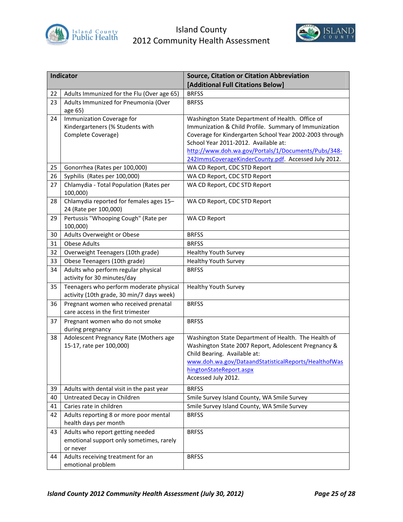



|    | Indicator                                              | <b>Source, Citation or Citation Abbreviation</b>                                     |
|----|--------------------------------------------------------|--------------------------------------------------------------------------------------|
|    |                                                        | [Additional Full Citations Below]                                                    |
| 22 | Adults Immunized for the Flu (Over age 65)             | <b>BRFSS</b>                                                                         |
| 23 | Adults Immunized for Pneumonia (Over                   | <b>BRFSS</b>                                                                         |
|    | age 65)                                                |                                                                                      |
| 24 | Immunization Coverage for                              | Washington State Department of Health. Office of                                     |
|    | Kindergarteners (% Students with                       | Immunization & Child Profile. Summary of Immunization                                |
|    | Complete Coverage)                                     | Coverage for Kindergarten School Year 2002-2003 through                              |
|    |                                                        | School Year 2011-2012. Available at:                                                 |
|    |                                                        | http://www.doh.wa.gov/Portals/1/Documents/Pubs/348-                                  |
|    |                                                        | 242ImmsCoverageKinderCounty.pdf. Accessed July 2012.                                 |
| 25 | Gonorrhea (Rates per 100,000)                          | WA CD Report, CDC STD Report                                                         |
| 26 | Syphilis (Rates per 100,000)                           | WA CD Report, CDC STD Report                                                         |
| 27 | Chlamydia - Total Population (Rates per<br>100,000)    | WA CD Report, CDC STD Report                                                         |
| 28 | Chlamydia reported for females ages 15-                | WA CD Report, CDC STD Report                                                         |
|    | 24 (Rate per 100,000)                                  |                                                                                      |
| 29 | Pertussis "Whooping Cough" (Rate per                   | WA CD Report                                                                         |
|    | 100,000)                                               |                                                                                      |
| 30 | Adults Overweight or Obese                             | <b>BRFSS</b>                                                                         |
| 31 | <b>Obese Adults</b>                                    | <b>BRFSS</b>                                                                         |
| 32 | Overweight Teenagers (10th grade)                      | <b>Healthy Youth Survey</b>                                                          |
| 33 | Obese Teenagers (10th grade)                           | <b>Healthy Youth Survey</b>                                                          |
| 34 | Adults who perform regular physical                    | <b>BRFSS</b>                                                                         |
|    | activity for 30 minutes/day                            |                                                                                      |
| 35 | Teenagers who perform moderate physical                | <b>Healthy Youth Survey</b>                                                          |
|    | activity (10th grade, 30 min/7 days week)              |                                                                                      |
| 36 | Pregnant women who received prenatal                   | <b>BRFSS</b>                                                                         |
|    | care access in the first trimester                     |                                                                                      |
| 37 | Pregnant women who do not smoke                        | <b>BRFSS</b>                                                                         |
|    | during pregnancy                                       |                                                                                      |
| 38 | Adolescent Pregnancy Rate (Mothers age                 | Washington State Department of Health. The Health of                                 |
|    | 15-17, rate per 100,000)                               | Washington State 2007 Report, Adolescent Pregnancy &<br>Child Bearing. Available at: |
|    |                                                        | www.doh.wa.gov/DataandStatisticalReports/HealthofWas                                 |
|    |                                                        | hingtonStateReport.aspx                                                              |
|    |                                                        | Accessed July 2012.                                                                  |
| 39 | Adults with dental visit in the past year              | <b>BRFSS</b>                                                                         |
| 40 | Untreated Decay in Children                            | Smile Survey Island County, WA Smile Survey                                          |
| 41 | Caries rate in children                                | Smile Survey Island County, WA Smile Survey                                          |
| 42 | Adults reporting 8 or more poor mental                 | <b>BRFSS</b>                                                                         |
|    | health days per month                                  |                                                                                      |
| 43 | Adults who report getting needed                       | <b>BRFSS</b>                                                                         |
|    | emotional support only sometimes, rarely               |                                                                                      |
|    | or never                                               |                                                                                      |
| 44 | Adults receiving treatment for an<br>emotional problem | <b>BRFSS</b>                                                                         |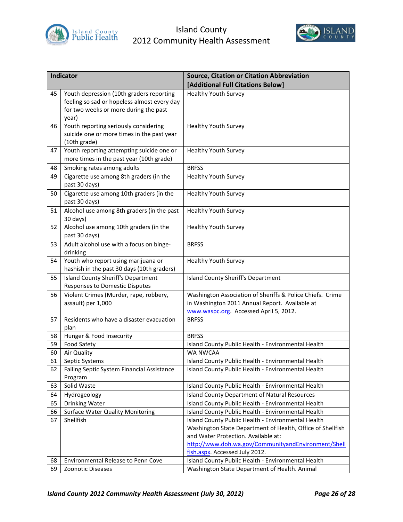



|          | Indicator                                                  | <b>Source, Citation or Citation Abbreviation</b>                      |
|----------|------------------------------------------------------------|-----------------------------------------------------------------------|
|          |                                                            | [Additional Full Citations Below]                                     |
| 45       | Youth depression (10th graders reporting                   | <b>Healthy Youth Survey</b>                                           |
|          | feeling so sad or hopeless almost every day                |                                                                       |
|          | for two weeks or more during the past                      |                                                                       |
|          | year)                                                      |                                                                       |
| 46       | Youth reporting seriously considering                      | <b>Healthy Youth Survey</b>                                           |
|          | suicide one or more times in the past year<br>(10th grade) |                                                                       |
| 47       | Youth reporting attempting suicide one or                  | <b>Healthy Youth Survey</b>                                           |
|          | more times in the past year (10th grade)                   |                                                                       |
| 48       | Smoking rates among adults                                 | <b>BRFSS</b>                                                          |
| 49       | Cigarette use among 8th graders (in the                    | <b>Healthy Youth Survey</b>                                           |
|          | past 30 days)                                              |                                                                       |
| 50       | Cigarette use among 10th graders (in the                   | <b>Healthy Youth Survey</b>                                           |
|          | past 30 days)                                              |                                                                       |
| 51       | Alcohol use among 8th graders (in the past<br>30 days)     | Healthy Youth Survey                                                  |
| 52       | Alcohol use among 10th graders (in the                     | <b>Healthy Youth Survey</b>                                           |
|          | past 30 days)                                              |                                                                       |
| 53       | Adult alcohol use with a focus on binge-<br>drinking       | <b>BRFSS</b>                                                          |
| 54       | Youth who report using marijuana or                        | <b>Healthy Youth Survey</b>                                           |
|          | hashish in the past 30 days (10th graders)                 |                                                                       |
| 55       | Island County Sheriff's Department                         | Island County Sheriff's Department                                    |
|          | <b>Responses to Domestic Disputes</b>                      |                                                                       |
| 56       | Violent Crimes (Murder, rape, robbery,                     | Washington Association of Sheriffs & Police Chiefs. Crime             |
|          | assault) per 1,000                                         | in Washington 2011 Annual Report. Available at                        |
|          |                                                            | www.waspc.org. Accessed April 5, 2012.                                |
| 57       | Residents who have a disaster evacuation                   | <b>BRFSS</b>                                                          |
|          | plan                                                       |                                                                       |
| 58       | Hunger & Food Insecurity                                   | <b>BRFSS</b>                                                          |
| 59<br>60 | <b>Food Safety</b>                                         | Island County Public Health - Environmental Health<br><b>WA NWCAA</b> |
| 61       | Air Quality<br>Septic Systems                              | Island County Public Health - Environmental Health                    |
| 62       | Failing Septic System Financial Assistance                 | Island County Public Health - Environmental Health                    |
|          | Program                                                    |                                                                       |
| 63       | Solid Waste                                                | Island County Public Health - Environmental Health                    |
| 64       | Hydrogeology                                               | Island County Department of Natural Resources                         |
| 65       | Drinking Water                                             | Island County Public Health - Environmental Health                    |
| 66       | <b>Surface Water Quality Monitoring</b>                    | Island County Public Health - Environmental Health                    |
| 67       | Shellfish                                                  | Island County Public Health - Environmental Health                    |
|          |                                                            | Washington State Department of Health, Office of Shellfish            |
|          |                                                            | and Water Protection. Available at:                                   |
|          |                                                            | http://www.doh.wa.gov/CommunityandEnvironment/Shell                   |
|          |                                                            | fish.aspx. Accessed July 2012.                                        |
| 68       | Environmental Release to Penn Cove                         | Island County Public Health - Environmental Health                    |
| 69       | Zoonotic Diseases                                          | Washington State Department of Health. Animal                         |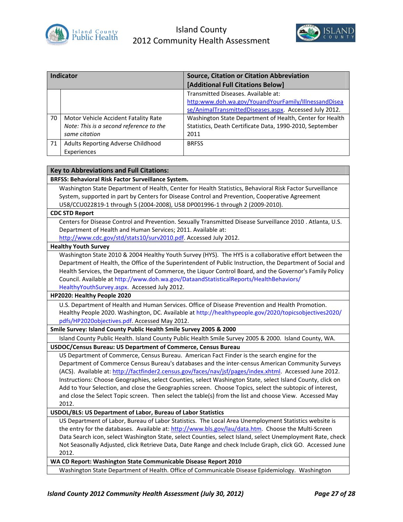



| Indicator |                                         | <b>Source, Citation or Citation Abbreviation</b>         |
|-----------|-----------------------------------------|----------------------------------------------------------|
|           |                                         | [Additional Full Citations Below]                        |
|           |                                         | Transmitted Diseases. Available at:                      |
|           |                                         | http:www.doh.wa.gov/YouandYourFamily/IllnessandDisea     |
|           |                                         | se/AnimalTransmittedDiseases.aspx. Accessed July 2012.   |
| 70        | Motor Vehicle Accident Fatality Rate    | Washington State Department of Health, Center for Health |
|           | Note: This is a second reference to the | Statistics, Death Certificate Data, 1990-2010, September |
|           | same citation                           | 2011                                                     |
| 71        | Adults Reporting Adverse Childhood      | <b>BRFSS</b>                                             |
|           | Experiences                             |                                                          |

#### **Key to Abbreviations and Full Citations:**

**BRFSS: Behavioral Risk Factor Surveillance System.**

Washington State Department of Health, Center for Health Statistics, Behavioral Risk Factor Surveillance System, supported in part by Centers for Disease Control and Prevention, Cooperative Agreement U58/CCU022819-1 through 5 (2004-2008), U58 DP001996-1 through 2 (2009-2010).

#### **CDC STD Report**

Centers for Disease Control and Prevention. Sexually Transmitted Disease Surveillance 2010 . Atlanta, U.S. Department of Health and Human Services; 2011. Available at:

http://www.cdc.gov/std/stats10/surv2010.pdf. Accessed July 2012.

#### **Healthy Youth Survey**

Washington State 2010 & 2004 Healthy Youth Survey (HYS). The HYS is a collaborative effort between the Department of Health, the Office of the Superintendent of Public Instruction, the Department of Social and Health Services, the Department of Commerce, the Liquor Control Board, and the Governor's Family Policy Council. Available at http://www.doh.wa.gov/DataandStatisticalReports/HealthBehaviors/ HealthyYouthSurvey.aspx. Accessed July 2012.

#### **HP2020: Healthy People 2020**

U.S. Department of Health and Human Services. Office of Disease Prevention and Health Promotion. Healthy People 2020. Washington, DC. Available at http://healthypeople.gov/2020/topicsobjectives2020/ pdfs/HP2020objectives.pdf. Accessed May 2012.

#### **Smile Survey: Island County Public Health Smile Survey 2005 & 2000**

Island County Public Health. Island County Public Health Smile Survey 2005 & 2000. Island County, WA.

#### **USDOC/Census Bureau: US Department of Commerce, Census Bureau**

US Department of Commerce, Census Bureau. American Fact Finder is the search engine for the Department of Commerce Census Bureau's databases and the inter-census American Community Surveys (ACS). Available at: http://factfinder2.census.gov/faces/nav/jsf/pages/index.xhtml. Accessed June 2012. Instructions: Choose Geographies, select Counties, select Washington State, select Island County, click on Add to Your Selection, and close the Geographies screen. Choose Topics, select the subtopic of interest, and close the Select Topic screen. Then select the table(s) from the list and choose View. Accessed May 2012.

#### **USDOL/BLS: US Department of Labor, Bureau of Labor Statistics**

US Department of Labor, Bureau of Labor Statistics. The Local Area Unemployment Statistics website is the entry for the databases. Available at: http://www.bls.gov/lau/data.htm. Choose the Multi-Screen Data Search icon, select Washington State, select Counties, select Island, select Unemployment Rate, check Not Seasonally Adjusted, click Retrieve Data, Date Range and check Include Graph, click GO. Accessed June 2012.

**WA CD Report: Washington State Communicable Disease Report 2010**

Washington State Department of Health. Office of Communicable Disease Epidemiology. Washington